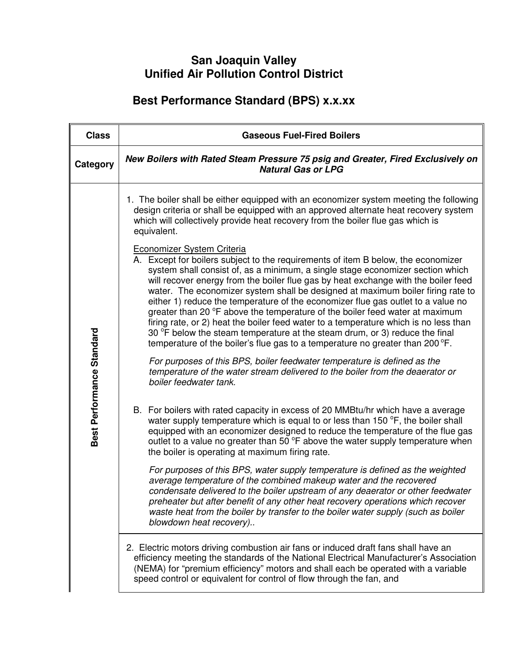## **San Joaquin Valley Unified Air Pollution Control District**

## **Best Performance Standard (BPS) x.x.xx**

| <b>Class</b>              | <b>Gaseous Fuel-Fired Boilers</b>                                                                                                                                                                                                                                                                                                                                                                                                                                                                                                                                                                                                                                                                                                                                                                             |
|---------------------------|---------------------------------------------------------------------------------------------------------------------------------------------------------------------------------------------------------------------------------------------------------------------------------------------------------------------------------------------------------------------------------------------------------------------------------------------------------------------------------------------------------------------------------------------------------------------------------------------------------------------------------------------------------------------------------------------------------------------------------------------------------------------------------------------------------------|
| Category                  | New Boilers with Rated Steam Pressure 75 psig and Greater, Fired Exclusively on<br><b>Natural Gas or LPG</b>                                                                                                                                                                                                                                                                                                                                                                                                                                                                                                                                                                                                                                                                                                  |
| Best Performance Standard | 1. The boiler shall be either equipped with an economizer system meeting the following<br>design criteria or shall be equipped with an approved alternate heat recovery system<br>which will collectively provide heat recovery from the boiler flue gas which is<br>equivalent.                                                                                                                                                                                                                                                                                                                                                                                                                                                                                                                              |
|                           | <b>Economizer System Criteria</b><br>A. Except for boilers subject to the requirements of item B below, the economizer<br>system shall consist of, as a minimum, a single stage economizer section which<br>will recover energy from the boiler flue gas by heat exchange with the boiler feed<br>water. The economizer system shall be designed at maximum boiler firing rate to<br>either 1) reduce the temperature of the economizer flue gas outlet to a value no<br>greater than 20 °F above the temperature of the boiler feed water at maximum<br>firing rate, or 2) heat the boiler feed water to a temperature which is no less than<br>30 °F below the steam temperature at the steam drum, or 3) reduce the final<br>temperature of the boiler's flue gas to a temperature no greater than 200 °F. |
|                           | For purposes of this BPS, boiler feedwater temperature is defined as the<br>temperature of the water stream delivered to the boiler from the deaerator or<br>boiler feedwater tank.                                                                                                                                                                                                                                                                                                                                                                                                                                                                                                                                                                                                                           |
|                           | B. For boilers with rated capacity in excess of 20 MMBtu/hr which have a average<br>water supply temperature which is equal to or less than 150 °F, the boiler shall<br>equipped with an economizer designed to reduce the temperature of the flue gas<br>outlet to a value no greater than 50 °F above the water supply temperature when<br>the boiler is operating at maximum firing rate.                                                                                                                                                                                                                                                                                                                                                                                                                  |
|                           | For purposes of this BPS, water supply temperature is defined as the weighted<br>average temperature of the combined makeup water and the recovered<br>condensate delivered to the boiler upstream of any deaerator or other feedwater<br>preheater but after benefit of any other heat recovery operations which recover<br>waste heat from the boiler by transfer to the boiler water supply (such as boiler<br>blowdown heat recovery)                                                                                                                                                                                                                                                                                                                                                                     |
|                           | 2. Electric motors driving combustion air fans or induced draft fans shall have an<br>efficiency meeting the standards of the National Electrical Manufacturer's Association<br>(NEMA) for "premium efficiency" motors and shall each be operated with a variable<br>speed control or equivalent for control of flow through the fan, and                                                                                                                                                                                                                                                                                                                                                                                                                                                                     |